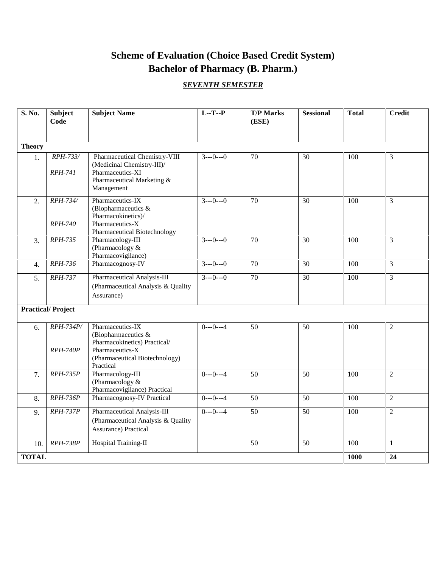# **Scheme of Evaluation (Choice Based Credit System) Bachelor of Pharmacy (B. Pharm.)**

# *SEVENTH SEMESTER*

| S. No.        | Subject<br>Code                   | <b>Subject Name</b>                                                                                                                       | $L - T - P$ | <b>T/P Marks</b><br>(ESE) | <b>Sessional</b> | <b>Total</b> | <b>Credit</b>  |
|---------------|-----------------------------------|-------------------------------------------------------------------------------------------------------------------------------------------|-------------|---------------------------|------------------|--------------|----------------|
| <b>Theory</b> |                                   |                                                                                                                                           |             |                           |                  |              |                |
| 1.            | RPH-733/<br><i>RPH-741</i>        | Pharmaceutical Chemistry-VIII<br>(Medicinal Chemistry-III)/<br>Pharmaceutics-XI<br>Pharmaceutical Marketing &<br>Management               | $3--0---0$  | 70                        | 30               | 100          | 3              |
| 2.            | <b>RPH-734/</b><br><b>RPH-740</b> | Pharmaceutics-IX<br>(Biopharmaceutics &<br>Pharmacokinetics)/<br>Pharmaceutics-X<br>Pharmaceutical Biotechnology                          | $3---0---0$ | $\overline{70}$           | $\overline{30}$  | 100          | 3              |
| 3.            | RPH-735                           | Pharmacology-III<br>(Pharmacology &<br>Pharmacovigilance)                                                                                 | $3---0---0$ | 70                        | 30               | 100          | 3              |
| 4.            | RPH-736                           | Pharmacognosy-IV                                                                                                                          | $3---0---0$ | 70                        | 30               | 100          | 3              |
| 5.            | <b>RPH-737</b>                    | Pharmaceutical Analysis-III<br>(Pharmaceutical Analysis & Quality<br>Assurance)                                                           | $3---0---0$ | 70                        | 30               | 100          | 3              |
|               | <b>Practical/Project</b>          |                                                                                                                                           |             |                           |                  |              |                |
| 6.            | RPH-734P/<br><b>RPH-740P</b>      | Pharmaceutics-IX<br>(Biopharmaceutics &<br>Pharmacokinetics) Practical/<br>Pharmaceutics-X<br>(Pharmaceutical Biotechnology)<br>Practical | $0--0---4$  | 50                        | 50               | 100          | $\overline{2}$ |
| 7.            | <b>RPH-735P</b>                   | Pharmacology-III<br>(Pharmacology $&$<br>Pharmacovigilance) Practical                                                                     | $0--0---4$  | 50                        | 50               | 100          | $\overline{2}$ |
| 8.            | <b>RPH-736P</b>                   | Pharmacognosy-IV Practical                                                                                                                | $0--0---4$  | 50                        | $\overline{50}$  | 100          | $\overline{2}$ |
| 9.            | <b>RPH-737P</b>                   | Pharmaceutical Analysis-III<br>(Pharmaceutical Analysis & Quality<br><b>Assurance)</b> Practical                                          | $0--0---4$  | 50                        | 50               | 100          | $\overline{2}$ |
| 10.           | $RPH-738P$                        | Hospital Training-II                                                                                                                      |             | 50                        | 50               | 100          | $\mathbf{1}$   |
| <b>TOTAL</b>  |                                   |                                                                                                                                           |             |                           |                  | 1000         | 24             |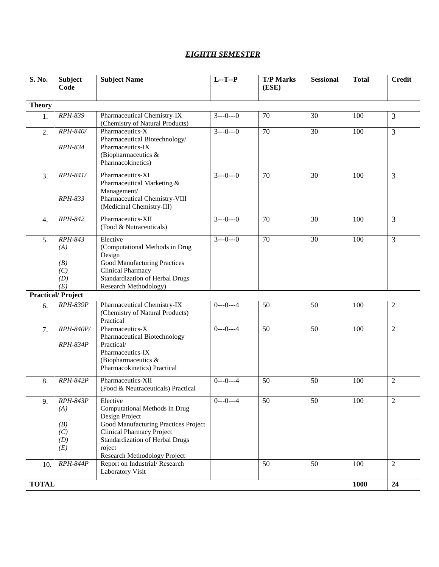## *EIGHTH SEMESTER*

| S. No.           | <b>Subject</b><br>Code                             | <b>Subject Name</b>                                                                                                                                                                                                         | $L - T - P$ | <b>T/P Marks</b><br>(ESE) | <b>Sessional</b> | <b>Total</b> | <b>Credit</b>  |
|------------------|----------------------------------------------------|-----------------------------------------------------------------------------------------------------------------------------------------------------------------------------------------------------------------------------|-------------|---------------------------|------------------|--------------|----------------|
| <b>Theory</b>    |                                                    |                                                                                                                                                                                                                             |             |                           |                  |              |                |
| 1.               | RPH-839                                            | Pharmaceutical Chemistry-IX<br>(Chemistry of Natural Products)                                                                                                                                                              | $3--0---0$  | 70                        | 30               | 100          | 3              |
| 2.               | RPH-840/<br>RPH-834                                | Pharmaceutics-X<br>Pharmaceutical Biotechnology/<br>Pharmaceutics-IX<br>(Biopharmaceutics $\&$<br>Pharmacokinetics)                                                                                                         | $3--0---0$  | 70                        | 30               | 100          | $\overline{3}$ |
| 3.               | RPH-841/<br>RPH-833                                | Pharmaceutics-XI<br>Pharmaceutical Marketing &<br>Management/<br>Pharmaceutical Chemistry-VIII<br>(Medicinal Chemistry-III)                                                                                                 | $3--0---0$  | 70                        | 30               | 100          | $\overline{3}$ |
| $\overline{4}$ . | RPH-842                                            | Pharmaceutics-XII<br>(Food & Nutraceuticals)                                                                                                                                                                                | $3--0---0$  | 70                        | 30               | 100          | $\overline{3}$ |
| 5.               | RPH-843<br>(A)<br>(B)<br>(C)<br>(D)<br>(E)         | Elective<br>(Computational Methods in Drug<br>Design<br>Good Manufacturing Practices<br>Clinical Pharmacy<br>Standardization of Herbal Drugs<br>Research Methodology)                                                       | $3--0---0$  | 70                        | 30               | 100          | $\overline{3}$ |
|                  | <b>Practical/Project</b>                           |                                                                                                                                                                                                                             |             |                           |                  |              |                |
| 6.               | <b>RPH-839P</b>                                    | Pharmaceutical Chemistry-IX<br>(Chemistry of Natural Products)<br>Practical                                                                                                                                                 | $0--0---4$  | 50                        | 50               | 100          | $\overline{2}$ |
| 7.               | RPH-840P/<br><b>RPH-834P</b>                       | Pharmaceutics-X<br>Pharmaceutical Biotechnology<br>Practical/<br>Pharmaceutics-IX<br>(Biopharmaceutics &<br>Pharmacokinetics) Practical                                                                                     | $0--0--4$   | 50                        | 50               | 100          | $\overline{2}$ |
| 8.               | <b>RPH-842P</b>                                    | Pharmaceutics-XII<br>(Food & Neutraceuticals) Practical                                                                                                                                                                     | $0--0---4$  | 50                        | 50               | 100          | $\overline{2}$ |
| 9.               | <b>RPH-843P</b><br>(A)<br>(B)<br>(C)<br>(D)<br>(E) | Elective<br>Computational Methods in Drug<br>Design Project<br>Good Manufacturing Practices Project<br><b>Clinical Pharmacy Project</b><br>Standardization of Herbal Drugs<br>roject<br><b>Research Methodology Project</b> | $0--0---4$  | 50                        | 50               | 100          | $\overline{2}$ |
| 10.              | <b>RPH-844P</b>                                    | Report on Industrial/Research<br>Laboratory Visit                                                                                                                                                                           |             | 50                        | 50               | 100          | $\overline{2}$ |
| <b>TOTAL</b>     |                                                    | 1000                                                                                                                                                                                                                        | 24          |                           |                  |              |                |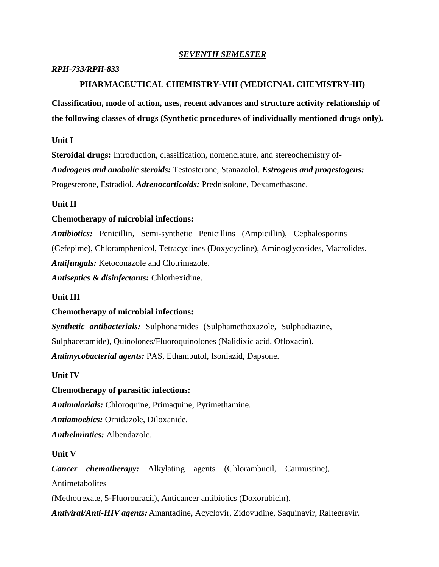## *SEVENTH SEMESTER*

#### *RPH-733/RPH-833*

### **PHARMACEUTICAL CHEMISTRY-VIII (MEDICINAL CHEMISTRY-III)**

**Classification, mode of action, uses, recent advances and structure activity relationship of the following classes of drugs (Synthetic procedures of individually mentioned drugs only).**

#### **Unit I**

**Steroidal drugs:** Introduction, classification, nomenclature, and stereochemistry of- *Androgens and anabolic steroids:* Testosterone, Stanazolol. *Estrogens and progestogens:* Progesterone, Estradiol. *Adrenocorticoids:* Prednisolone, Dexamethasone.

## **Unit II**

#### **Chemotherapy of microbial infections:**

*Antibiotics:* Penicillin, Semi-synthetic Penicillins (Ampicillin), Cephalosporins (Cefepime), Chloramphenicol, Tetracyclines (Doxycycline), Aminoglycosides, Macrolides. *Antifungals:* Ketoconazole and Clotrimazole.

*Antiseptics & disinfectants:* Chlorhexidine.

## **Unit III**

## **Chemotherapy of microbial infections:**

*Synthetic antibacterials:* Sulphonamides (Sulphamethoxazole, Sulphadiazine, Sulphacetamide), Quinolones/Fluoroquinolones (Nalidixic acid, Ofloxacin). *Antimycobacterial agents:* PAS, Ethambutol, Isoniazid, Dapsone.

#### **Unit IV**

### **Chemotherapy of parasitic infections:**

*Antimalarials:* Chloroquine, Primaquine, Pyrimethamine.

*Antiamoebics:* Ornidazole, Diloxanide.

*Anthelmintics:* Albendazole.

#### **Unit V**

*Cancer chemotherapy:* Alkylating agents (Chlorambucil, Carmustine), Antimetabolites

(Methotrexate, 5-Fluorouracil), Anticancer antibiotics (Doxorubicin).

*Antiviral/Anti-HIV agents:* Amantadine, Acyclovir, Zidovudine, Saquinavir, Raltegravir.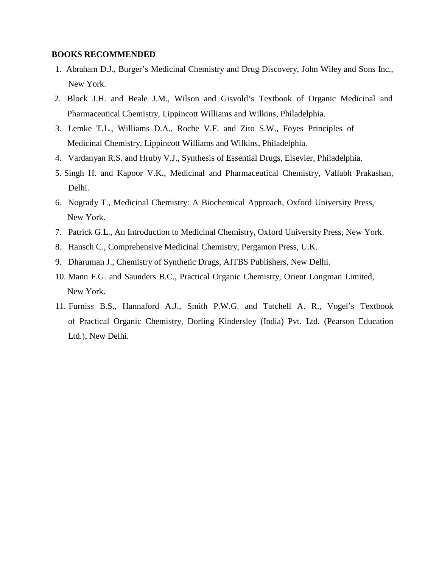- 1. Abraham D.J., Burger's Medicinal Chemistry and Drug Discovery, John Wiley and Sons Inc., New York.
- 2. Block J.H. and Beale J.M., Wilson and Gisvold's Textbook of Organic Medicinal and Pharmaceutical Chemistry, Lippincott Williams and Wilkins, Philadelphia.
- 3. Lemke T.L., Williams D.A., Roche V.F. and Zito S.W., Foyes Principles of Medicinal Chemistry, Lippincott Williams and Wilkins, Philadelphia.
- 4. Vardanyan R.S. and Hruby V.J., Synthesis of Essential Drugs, Elsevier, Philadelphia.
- 5. Singh H. and Kapoor V.K., Medicinal and Pharmaceutical Chemistry, Vallabh Prakashan, Delhi.
- 6. Nogrady T., Medicinal Chemistry: A Biochemical Approach, Oxford University Press, New York.
- 7. Patrick G.L., An Introduction to Medicinal Chemistry, Oxford University Press, New York.
- 8. Hansch C., Comprehensive Medicinal Chemistry, Pergamon Press, U.K.
- 9. Dharuman J., Chemistry of Synthetic Drugs, AITBS Publishers, New Delhi.
- 10. Mann F.G. and Saunders B.C., Practical Organic Chemistry, Orient Longman Limited, New York.
- 11. Furniss B.S., Hannaford A.J., Smith P.W.G. and Tatchell A. R., Vogel's Textbook of Practical Organic Chemistry, Dorling Kindersley (India) Pvt. Ltd. (Pearson Education Ltd.), New Delhi.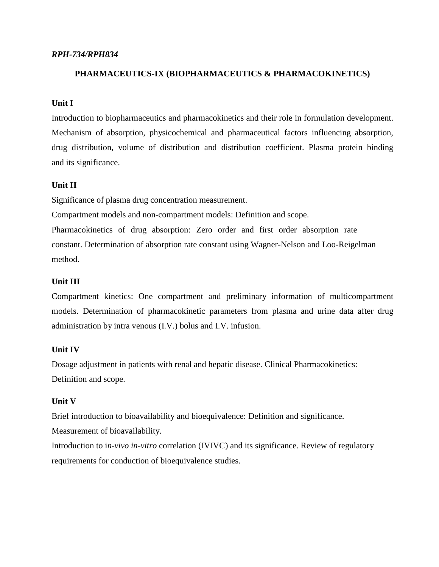## *RPH-734/RPH834*

## **PHARMACEUTICS-IX (BIOPHARMACEUTICS & PHARMACOKINETICS)**

## **Unit I**

Introduction to biopharmaceutics and pharmacokinetics and their role in formulation development. Mechanism of absorption, physicochemical and pharmaceutical factors influencing absorption, drug distribution, volume of distribution and distribution coefficient. Plasma protein binding and its significance.

## **Unit II**

Significance of plasma drug concentration measurement.

Compartment models and non-compartment models: Definition and scope.

Pharmacokinetics of drug absorption: Zero order and first order absorption rate constant. Determination of absorption rate constant using Wagner-Nelson and Loo-Reigelman method.

## **Unit III**

Compartment kinetics: One compartment and preliminary information of multicompartment models. Determination of pharmacokinetic parameters from plasma and urine data after drug administration by intra venous (I.V.) bolus and I.V. infusion.

#### **Unit IV**

Dosage adjustment in patients with renal and hepatic disease. Clinical Pharmacokinetics: Definition and scope.

## **Unit V**

Brief introduction to bioavailability and bioequivalence: Definition and significance.

Measurement of bioavailability.

Introduction to i*n-vivo in-vitro* correlation (IVIVC) and its significance. Review of regulatory requirements for conduction of bioequivalence studies.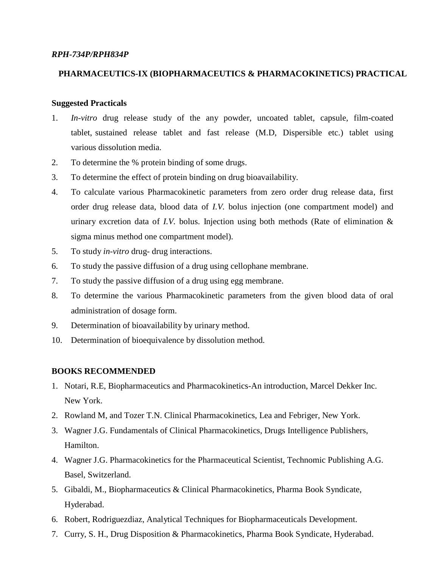### *RPH-734P/RPH834P*

## **PHARMACEUTICS-IX (BIOPHARMACEUTICS & PHARMACOKINETICS) PRACTICAL**

## **Suggested Practicals**

- 1. *In-vitro* drug release study of the any powder, uncoated tablet, capsule, film-coated tablet, sustained release tablet and fast release (M.D, Dispersible etc.) tablet using various dissolution media.
- 2. To determine the % protein binding of some drugs.
- 3. To determine the effect of protein binding on drug bioavailability.
- 4. To calculate various Pharmacokinetic parameters from zero order drug release data, first order drug release data, blood data of *I.V.* bolus injection (one compartment model) and urinary excretion data of *I.V.* bolus. Injection using both methods (Rate of elimination & sigma minus method one compartment model).
- 5. To study *in-vitro* drug- drug interactions.
- 6. To study the passive diffusion of a drug using cellophane membrane.
- 7. To study the passive diffusion of a drug using egg membrane.
- 8. To determine the various Pharmacokinetic parameters from the given blood data of oral administration of dosage form.
- 9. Determination of bioavailability by urinary method.
- 10. Determination of bioequivalence by dissolution method.

- 1. Notari, R.E, Biopharmaceutics and Pharmacokinetics-An introduction, Marcel Dekker Inc. New York.
- 2. Rowland M, and Tozer T.N. Clinical Pharmacokinetics, Lea and Febriger, New York.
- 3. Wagner J.G. Fundamentals of Clinical Pharmacokinetics, Drugs Intelligence Publishers, Hamilton.
- 4. Wagner J.G. Pharmacokinetics for the Pharmaceutical Scientist, Technomic Publishing A.G. Basel, Switzerland.
- 5. Gibaldi, M., Biopharmaceutics & Clinical Pharmacokinetics, Pharma Book Syndicate, Hyderabad.
- 6. Robert, Rodriguezdiaz, Analytical Techniques for Biopharmaceuticals Development.
- 7. Curry, S. H., Drug Disposition & Pharmacokinetics, Pharma Book Syndicate, Hyderabad.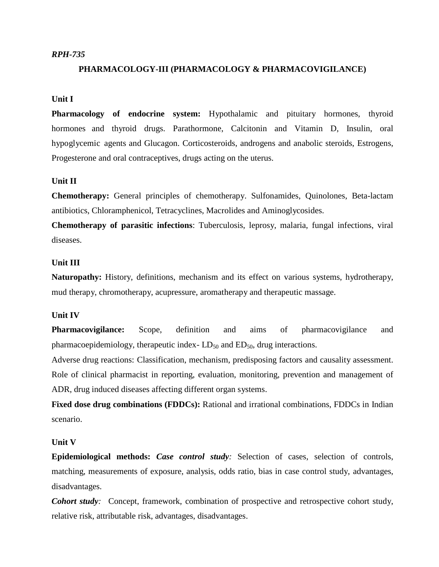### *RPH-735*

## **PHARMACOLOGY-III (PHARMACOLOGY & PHARMACOVIGILANCE)**

## **Unit I**

**Pharmacology of endocrine system:** Hypothalamic and pituitary hormones, thyroid hormones and thyroid drugs. Parathormone, Calcitonin and Vitamin D, Insulin, oral hypoglycemic agents and Glucagon. Corticosteroids, androgens and anabolic steroids, Estrogens, Progesterone and oral contraceptives, drugs acting on the uterus.

## **Unit II**

**Chemotherapy:** General principles of chemotherapy. Sulfonamides, Quinolones, Beta-lactam antibiotics, Chloramphenicol, Tetracyclines, Macrolides and Aminoglycosides.

**Chemotherapy of parasitic infections**: Tuberculosis, leprosy, malaria, fungal infections, viral diseases.

#### **Unit III**

**Naturopathy:** History, definitions, mechanism and its effect on various systems, hydrotherapy, mud therapy, chromotherapy, acupressure, aromatherapy and therapeutic massage.

#### **Unit IV**

**Pharmacovigilance:** Scope, definition and aims of pharmacovigilance and pharmacoepidemiology, therapeutic index- $LD_{50}$  and  $ED_{50}$ , drug interactions.

Adverse drug reactions: Classification, mechanism, predisposing factors and causality assessment. Role of clinical pharmacist in reporting, evaluation, monitoring, prevention and management of ADR, drug induced diseases affecting different organ systems.

**Fixed dose drug combinations (FDDCs):** Rational and irrational combinations, FDDCs in Indian scenario.

### **Unit V**

**Epidemiological methods:** *Case control study:* Selection of cases, selection of controls, matching, measurements of exposure, analysis, odds ratio, bias in case control study, advantages, disadvantages.

*Cohort study:* Concept, framework, combination of prospective and retrospective cohort study, relative risk, attributable risk, advantages, disadvantages.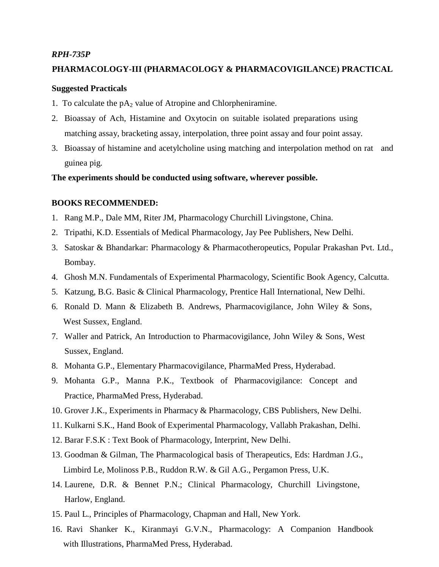#### *RPH-735P*

### **PHARMACOLOGY-III (PHARMACOLOGY & PHARMACOVIGILANCE) PRACTICAL**

#### **Suggested Practicals**

- 1. To calculate the  $pA_2$  value of Atropine and Chlorpheniramine.
- 2. Bioassay of Ach, Histamine and Oxytocin on suitable isolated preparations using matching assay, bracketing assay, interpolation, three point assay and four point assay.
- 3. Bioassay of histamine and acetylcholine using matching and interpolation method on rat and guinea pig.

**The experiments should be conducted using software, wherever possible.**

- 1. Rang M.P., Dale MM, Riter JM, Pharmacology Churchill Livingstone, China.
- 2. Tripathi, K.D. Essentials of Medical Pharmacology, Jay Pee Publishers, New Delhi.
- 3. Satoskar & Bhandarkar: Pharmacology & Pharmacotheropeutics, Popular Prakashan Pvt.Ltd., Bombay.
- 4. Ghosh M.N. Fundamentals of Experimental Pharmacology, Scientific Book Agency, Calcutta.
- 5. Katzung, B.G. Basic & Clinical Pharmacology, Prentice Hall International, New Delhi.
- 6. Ronald D. Mann & Elizabeth B. Andrews, Pharmacovigilance, John Wiley & Sons, West Sussex, England.
- 7. Waller and Patrick, An Introduction to Pharmacovigilance, John Wiley & Sons, West Sussex, England.
- 8. Mohanta G.P., Elementary Pharmacovigilance, PharmaMed Press, Hyderabad.
- 9. Mohanta G.P., Manna P.K., Textbook of Pharmacovigilance: Concept and Practice, PharmaMed Press, Hyderabad.
- 10. Grover J.K., Experiments in Pharmacy & Pharmacology, CBS Publishers, New Delhi.
- 11. Kulkarni S.K., Hand Book of Experimental Pharmacology, Vallabh Prakashan, Delhi.
- 12. Barar F.S.K : Text Book of Pharmacology, Interprint, New Delhi.
- 13. Goodman & Gilman, The Pharmacological basis of Therapeutics, Eds: Hardman J.G., Limbird Le, Molinoss P.B., Ruddon R.W. & Gil A.G., Pergamon Press, U.K.
- 14. Laurene, D.R. & Bennet P.N.; Clinical Pharmacology, Churchill Livingstone, Harlow, England.
- 15. Paul L., Principles of Pharmacology, Chapman and Hall, New York.
- 16. Ravi Shanker K., Kiranmayi G.V.N., Pharmacology: A Companion Handbook with Illustrations, PharmaMed Press, Hyderabad.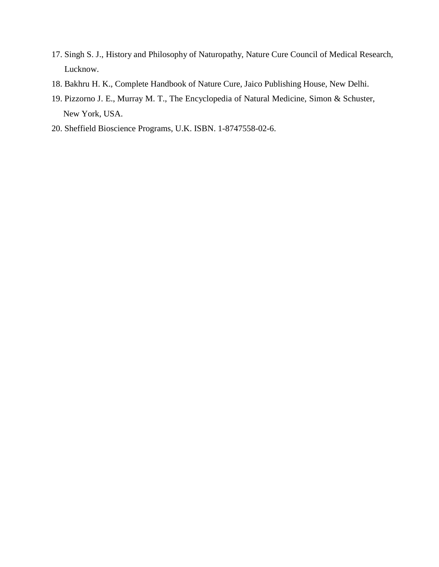- 17. Singh S. J., History and Philosophy of Naturopathy, Nature Cure Council of Medical Research, Lucknow.
- 18. Bakhru H. K., Complete Handbook of Nature Cure, Jaico Publishing House, New Delhi.
- 19. Pizzorno J. E., Murray M. T., The Encyclopedia of Natural Medicine, Simon & Schuster, New York, USA.
- 20. Sheffield Bioscience Programs, U.K. ISBN. 1-8747558-02-6.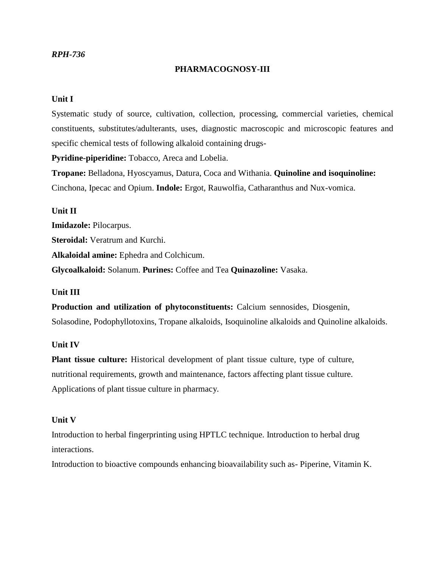## *RPH-736*

## **PHARMACOGNOSY-III**

## **Unit I**

Systematic study of source, cultivation, collection, processing, commercial varieties, chemical constituents, substitutes/adulterants, uses, diagnostic macroscopic and microscopic features and specific chemical tests of following alkaloid containing drugs-

**Pyridine-piperidine:** Tobacco, Areca and Lobelia.

**Tropane:** Belladona, Hyoscyamus, Datura, Coca and Withania. **Quinoline and isoquinoline:** Cinchona, Ipecac and Opium. **Indole:** Ergot, Rauwolfia, Catharanthus and Nux-vomica.

**Unit II Imidazole:** Pilocarpus.

**Steroidal:** Veratrum and Kurchi.

**Alkaloidal amine:** Ephedra and Colchicum.

**Glycoalkaloid:** Solanum. **Purines:** Coffee and Tea **Quinazoline:** Vasaka.

#### **Unit III**

**Production and utilization of phytoconstituents:** Calcium sennosides, Diosgenin, Solasodine, Podophyllotoxins, Tropane alkaloids, Isoquinoline alkaloids and Quinoline alkaloids.

## **Unit IV**

**Plant tissue culture:** Historical development of plant tissue culture, type of culture, nutritional requirements, growth and maintenance, factors affecting plant tissue culture. Applications of plant tissue culture in pharmacy.

#### **Unit V**

Introduction to herbal fingerprinting using HPTLC technique. Introduction to herbal drug interactions.

Introduction to bioactive compounds enhancing bioavailability such as- Piperine, Vitamin K.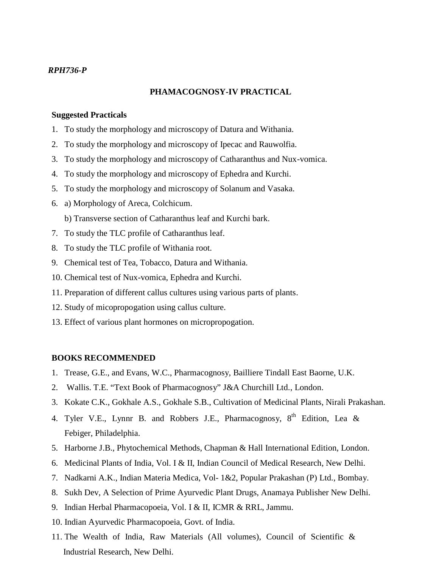## *RPH736-P*

### **PHAMACOGNOSY-IV PRACTICAL**

#### **Suggested Practicals**

- 1. To study the morphology and microscopy of Datura and Withania.
- 2. To study the morphology and microscopy of Ipecac and Rauwolfia.
- 3. To study the morphology and microscopy of Catharanthus and Nux-vomica.
- 4. To study the morphology and microscopy of Ephedra and Kurchi.
- 5. To study the morphology and microscopy of Solanum and Vasaka.
- 6. a) Morphology of Areca, Colchicum.
	- b) Transverse section of Catharanthus leaf and Kurchi bark.
- 7. To study the TLC profile of Catharanthus leaf.
- 8. To study the TLC profile of Withania root.
- 9. Chemical test of Tea, Tobacco, Datura and Withania.
- 10. Chemical test of Nux-vomica, Ephedra and Kurchi.
- 11. Preparation of different callus cultures using various parts of plants.
- 12. Study of micopropogation using callus culture.
- 13. Effect of various plant hormones on micropropogation.

- 1. Trease, G.E., and Evans, W.C., Pharmacognosy, Bailliere Tindall East Baorne, U.K.
- 2. Wallis. T.E. "Text Book of Pharmacognosy" J&A Churchill Ltd., London.
- 3. Kokate C.K., Gokhale A.S., Gokhale S.B., Cultivation of Medicinal Plants, Nirali Prakashan.
- 4. Tyler V.E., Lynnr B. and Robbers J.E., Pharmacognosy,  $8<sup>th</sup>$  Edition, Lea & Febiger, Philadelphia.
- 5. Harborne J.B., Phytochemical Methods, Chapman & Hall International Edition, London.
- 6. Medicinal Plants of India, Vol. I & II, Indian Council of Medical Research, New Delhi.
- 7. Nadkarni A.K., Indian Materia Medica, Vol- 1&2, Popular Prakashan (P) Ltd., Bombay.
- 8. Sukh Dev, A Selection of Prime Ayurvedic Plant Drugs, Anamaya Publisher New Delhi.
- 9. Indian Herbal Pharmacopoeia, Vol. I & II, ICMR & RRL, Jammu.
- 10. Indian Ayurvedic Pharmacopoeia, Govt. of India.
- 11. The Wealth of India, Raw Materials (All volumes), Council of Scientific & Industrial Research, New Delhi.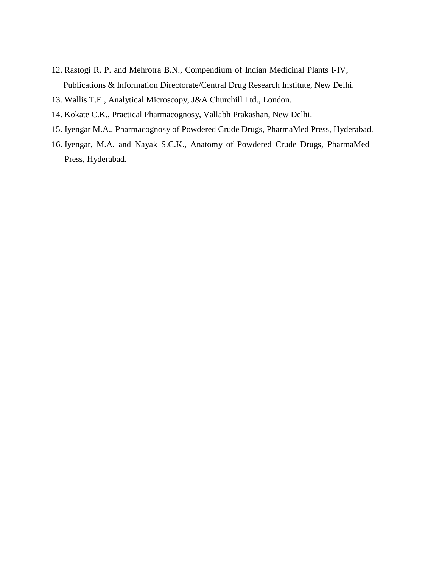- 12. Rastogi R. P. and Mehrotra B.N., Compendium of Indian Medicinal Plants I-IV, Publications & Information Directorate/Central Drug Research Institute, New Delhi.
- 13. Wallis T.E., Analytical Microscopy, J&A Churchill Ltd., London.
- 14. Kokate C.K., Practical Pharmacognosy, Vallabh Prakashan, New Delhi.
- 15. Iyengar M.A., Pharmacognosy of Powdered Crude Drugs, PharmaMed Press, Hyderabad.
- 16. Iyengar, M.A. and Nayak S.C.K., Anatomy of Powdered Crude Drugs, PharmaMed Press, Hyderabad.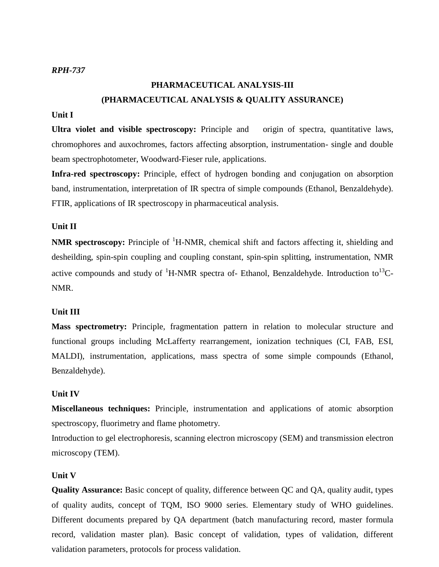# **PHARMACEUTICAL ANALYSIS-III (PHARMACEUTICAL ANALYSIS & QUALITY ASSURANCE)**

## **Unit I**

**Ultra violet and visible spectroscopy:** Principle and origin of spectra, quantitative laws, chromophores and auxochromes, factors affecting absorption, instrumentation- single and double beam spectrophotometer, Woodward-Fieser rule, applications.

**Infra-red spectroscopy:** Principle, effect of hydrogen bonding and conjugation on absorption band, instrumentation, interpretation of IR spectra of simple compounds (Ethanol, Benzaldehyde). FTIR, applications of IR spectroscopy in pharmaceutical analysis.

### **Unit II**

**NMR** spectroscopy: Principle of <sup>1</sup>H-NMR, chemical shift and factors affecting it, shielding and desheilding, spin-spin coupling and coupling constant, spin-spin splitting, instrumentation, NMR active compounds and study of  ${}^{1}$ H-NMR spectra of- Ethanol, Benzaldehyde. Introduction to<sup>13</sup>C-NMR.

### **Unit III**

**Mass spectrometry:** Principle, fragmentation pattern in relation to molecular structure and functional groups including McLafferty rearrangement, ionization techniques (CI, FAB, ESI, MALDI), instrumentation, applications, mass spectra of some simple compounds (Ethanol, Benzaldehyde).

#### **Unit IV**

**Miscellaneous techniques:** Principle, instrumentation and applications of atomic absorption spectroscopy, fluorimetry and flame photometry.

Introduction to gel electrophoresis, scanning electron microscopy (SEM) and transmission electron microscopy (TEM).

#### **Unit V**

**Quality Assurance:** Basic concept of quality, difference between QC and QA, quality audit, types of quality audits, concept of TQM, ISO 9000 series. Elementary study of WHO guidelines. Different documents prepared by QA department (batch manufacturing record, master formula record, validation master plan). Basic concept of validation, types of validation, different validation parameters, protocols for process validation.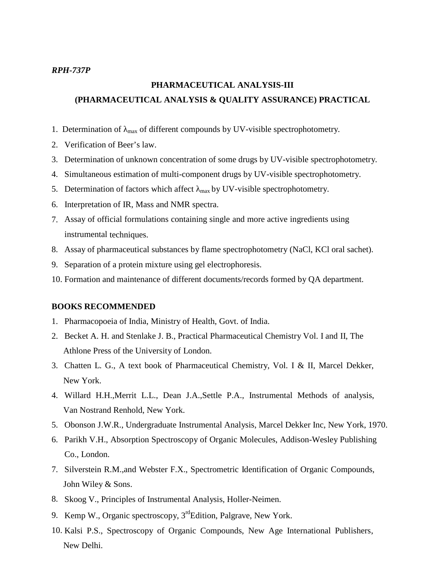#### *RPH-737P*

# **PHARMACEUTICAL ANALYSIS-III (PHARMACEUTICAL ANALYSIS & QUALITY ASSURANCE) PRACTICAL**

- 1. Determination of  $_{\text{max}}$  of different compounds by UV-visible spectrophotometry.
- 2. Verification of Beer's law.
- 3. Determination of unknown concentration of some drugs by UV-visible spectrophotometry.
- 4. Simultaneous estimation of multi-component drugs by UV-visible spectrophotometry.
- 5. Determination of factors which affect  $_{\text{max}}$  by UV-visible spectrophotometry.
- 6. Interpretation of IR, Mass and NMR spectra.
- 7. Assay of official formulations containing single and more active ingredients using instrumental techniques.
- 8. Assay of pharmaceutical substances by flame spectrophotometry (NaCl, KCl oral sachet).
- 9. Separation of a protein mixture using gel electrophoresis.
- 10. Formation and maintenance of different documents/records formed by QA department.

- 1. Pharmacopoeia of India, Ministry of Health, Govt. of India.
- 2. Becket A. H. and Stenlake J. B., Practical Pharmaceutical Chemistry Vol. I and II, The Athlone Press of the University of London.
- 3. Chatten L. G., A text book of Pharmaceutical Chemistry, Vol. I & II, Marcel Dekker, New York.
- 4. Willard H.H.,Merrit L.L., Dean J.A.,Settle P.A., Instrumental Methods of analysis, Van Nostrand Renhold, New York.
- 5. Obonson J.W.R., Undergraduate Instrumental Analysis, Marcel Dekker Inc, New York, 1970.
- 6. Parikh V.H., Absorption Spectroscopy of Organic Molecules, Addison-Wesley Publishing Co., London.
- 7. Silverstein R.M., and Webster F.X., Spectrometric Identification of Organic Compounds, John Wiley & Sons.
- 8. Skoog V., Principles of Instrumental Analysis, Holler-Neimen.
- 9. Kemp W., Organic spectroscopy, 3<sup>rd</sup>Edition, Palgrave, New York.
- 10. Kalsi P.S., Spectroscopy of Organic Compounds, New Age International Publishers, New Delhi.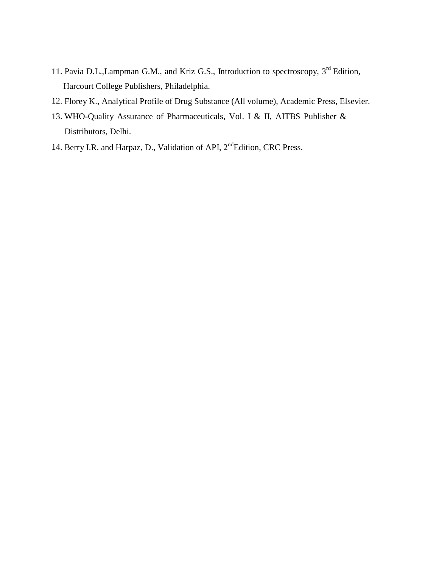- 11. Pavia D.L., Lampman G.M., and Kriz G.S., Introduction to spectroscopy, 3<sup>rd</sup> Edition, Harcourt College Publishers, Philadelphia.
- 12. Florey K., Analytical Profile of Drug Substance (All volume), Academic Press, Elsevier.
- 13. WHO-Quality Assurance of Pharmaceuticals, Vol. I & II, AITBS Publisher & Distributors, Delhi.
- 14. Berry I.R. and Harpaz, D., Validation of API, 2<sup>nd</sup>Edition, CRC Press.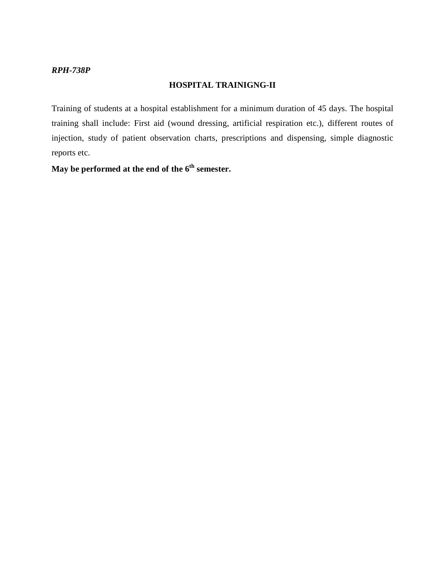## *RPH-738P*

### **HOSPITAL TRAINIGNG-II**

Training of students at a hospital establishment for a minimum duration of 45 days. The hospital training shall include: First aid (wound dressing, artificial respiration etc.), different routes of injection, study of patient observation charts, prescriptions and dispensing, simple diagnostic reports etc.

**May be performed at the end of the 6 th semester.**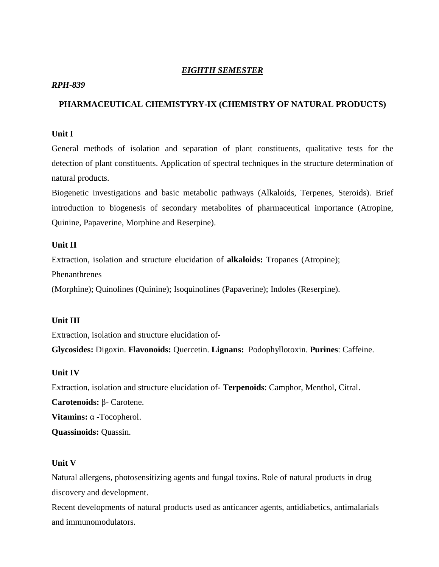## *EIGHTH SEMESTER*

## *RPH-839*

## **PHARMACEUTICAL CHEMISTYRY-IX (CHEMISTRY OF NATURAL PRODUCTS)**

## **Unit I**

General methods of isolation and separation of plant constituents, qualitative tests for the detection of plant constituents. Application of spectral techniques in the structure determination of natural products.

Biogenetic investigations and basic metabolic pathways (Alkaloids, Terpenes, Steroids). Brief introduction to biogenesis of secondary metabolites of pharmaceutical importance (Atropine, Quinine, Papaverine, Morphine and Reserpine).

## **Unit II**

Extraction, isolation and structure elucidation of**alkaloids:** Tropanes (Atropine); Phenanthrenes

(Morphine); Quinolines (Quinine); Isoquinolines (Papaverine); Indoles (Reserpine).

## **Unit III**

Extraction, isolation and structure elucidation of-

**Glycosides:** Digoxin. **Flavonoids:** Quercetin. **Lignans:** Podophyllotoxin. **Purines**: Caffeine.

#### **Unit IV**

Extraction, isolation and structure elucidation of- **Terpenoids**: Camphor, Menthol, Citral.

**Carotenoids:** - Carotene.

**Vitamins:** -Tocopherol.

**Quassinoids:** Quassin.

#### **Unit V**

Natural allergens, photosensitizing agents and fungal toxins. Role of natural products in drug discovery and development.

Recent developments of natural products used as anticancer agents, antidiabetics, antimalarials and immunomodulators.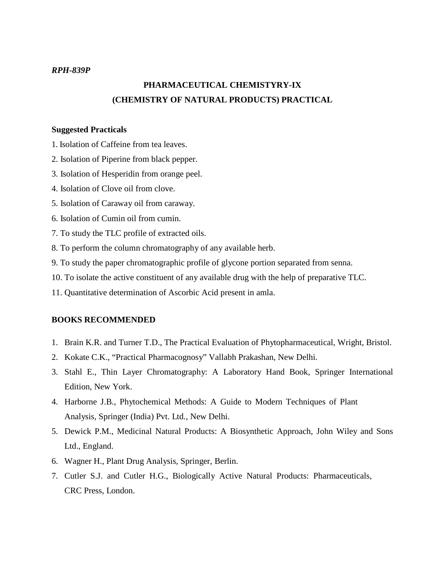### *RPH-839P*

# **PHARMACEUTICAL CHEMISTYRY-IX (CHEMISTRY OF NATURAL PRODUCTS) PRACTICAL**

## **Suggested Practicals**

- 1. Isolation of Caffeine from tea leaves.
- 2. Isolation of Piperine from black pepper.
- 3. Isolation of Hesperidin from orange peel.
- 4. Isolation of Clove oil from clove.
- 5. Isolation of Caraway oil from caraway.
- 6. Isolation of Cumin oil from cumin.
- 7. To study the TLC profile of extracted oils.
- 8. To perform the column chromatography of any available herb.
- 9. To study the paper chromatographic profile of glycone portion separated from senna.
- 10. To isolate the active constituent of any available drug with the help of preparative TLC.
- 11. Quantitative determination of Ascorbic Acid present in amla.

- 1. Brain K.R. and Turner T.D., The Practical Evaluation of Phytopharmaceutical, Wright, Bristol.
- 2. Kokate C.K., "Practical Pharmacognosy" Vallabh Prakashan, New Delhi.
- 3. Stahl E., Thin Layer Chromatography: A Laboratory Hand Book, Springer International Edition, New York.
- 4. Harborne J.B., Phytochemical Methods: A Guide to Modern Techniques of Plant Analysis, Springer (India) Pvt. Ltd., New Delhi.
- 5. Dewick P.M., Medicinal Natural Products: A Biosynthetic Approach, John Wiley and Sons Ltd., England.
- 6. Wagner H., Plant Drug Analysis, Springer, Berlin.
- 7. Cutler S.J. and Cutler H.G., Biologically Active Natural Products: Pharmaceuticals, CRC Press, London.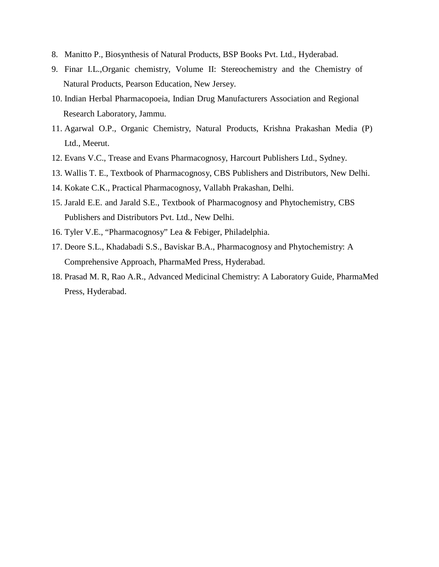- 8. Manitto P., Biosynthesis of Natural Products, BSP Books Pvt. Ltd., Hyderabad.
- 9. Finar I.L.,Organic chemistry, Volume II: Stereochemistry and the Chemistry of Natural Products, Pearson Education, New Jersey.
- 10. Indian Herbal Pharmacopoeia, Indian Drug Manufacturers Association and Regional Research Laboratory, Jammu.
- 11. Agarwal O.P., Organic Chemistry, Natural Products, Krishna Prakashan Media (P) Ltd., Meerut.
- 12. Evans V.C., Trease and Evans Pharmacognosy, Harcourt Publishers Ltd., Sydney.
- 13. Wallis T. E., Textbook of Pharmacognosy, CBS Publishers and Distributors, New Delhi.
- 14. Kokate C.K., Practical Pharmacognosy, Vallabh Prakashan, Delhi.
- 15. Jarald E.E. and Jarald S.E., Textbook of Pharmacognosy and Phytochemistry, CBS Publishers and Distributors Pvt. Ltd., New Delhi.
- 16. Tyler V.E., "Pharmacognosy" Lea & Febiger, Philadelphia.
- 17. Deore S.L., Khadabadi S.S., Baviskar B.A., Pharmacognosy and Phytochemistry: A Comprehensive Approach, PharmaMed Press, Hyderabad.
- 18. Prasad M. R, Rao A.R., Advanced Medicinal Chemistry: A Laboratory Guide, PharmaMed Press, Hyderabad.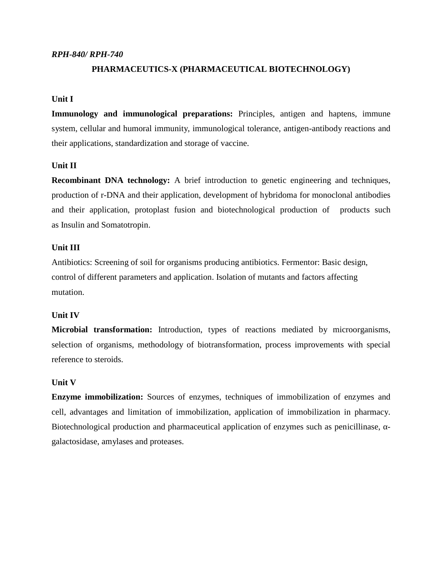### *RPH-840/ RPH-740*

## **PHARMACEUTICS-X (PHARMACEUTICAL BIOTECHNOLOGY)**

## **Unit I**

**Immunology and immunological preparations:** Principles, antigen and haptens, immune system, cellular and humoral immunity, immunological tolerance, antigen-antibody reactions and their applications, standardization and storage of vaccine.

## **Unit II**

**Recombinant DNA technology:** A brief introduction to genetic engineering and techniques, production of r-DNA and their application, development of hybridoma for monoclonal antibodies and their application, protoplast fusion and biotechnological production of products such as Insulin and Somatotropin.

## **Unit III**

Antibiotics: Screening of soil for organisms producing antibiotics. Fermentor: Basic design, control of different parameters and application. Isolation of mutants and factors affecting mutation.

#### **Unit IV**

**Microbial transformation:** Introduction, types of reactions mediated by microorganisms, selection of organisms, methodology of biotransformation, process improvements with special reference to steroids.

## **Unit V**

**Enzyme immobilization:** Sources of enzymes, techniques of immobilization of enzymes and cell, advantages and limitation of immobilization, application ofimmobilization in pharmacy. Biotechnological production and pharmaceutical application of enzymes such as penicillinase, galactosidase, amylases and proteases.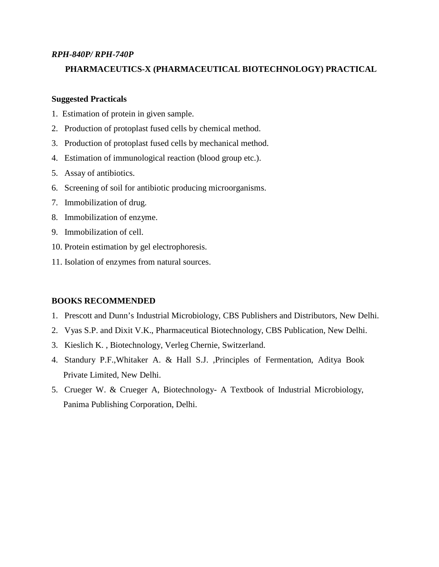## *RPH-840P/ RPH-740P*

## **PHARMACEUTICS-X (PHARMACEUTICAL BIOTECHNOLOGY) PRACTICAL**

## **Suggested Practicals**

- 1. Estimation of protein in given sample.
- 2. Production of protoplast fused cells by chemical method.
- 3. Production of protoplast fused cells by mechanical method.
- 4. Estimation of immunological reaction (blood group etc.).
- 5. Assay of antibiotics.
- 6. Screening of soil for antibiotic producing microorganisms.
- 7. Immobilization of drug.
- 8. Immobilization of enzyme.
- 9. Immobilization of cell.
- 10. Protein estimation by gel electrophoresis.
- 11. Isolation of enzymes from natural sources.

- 1. Prescott and Dunn's Industrial Microbiology, CBS Publishers and Distributors, New Delhi.
- 2. Vyas S.P. and Dixit V.K., Pharmaceutical Biotechnology, CBS Publication, New Delhi.
- 3. Kieslich K. , Biotechnology, Verleg Chernie, Switzerland.
- 4. Standury P.F.,Whitaker A. & Hall S.J. ,Principles of Fermentation, Aditya Book Private Limited, New Delhi.
- 5. Crueger W. & Crueger A, Biotechnology- A Textbook of Industrial Microbiology, Panima Publishing Corporation, Delhi.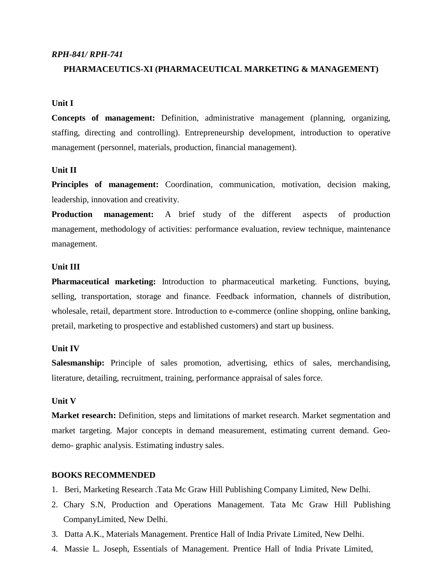### *RPH-841/ RPH-741*

### **PHARMACEUTICS-XI (PHARMACEUTICAL MARKETING & MANAGEMENT)**

## **Unit I**

**Concepts of management:** Definition, administrative management (planning, organizing, staffing, directing and controlling). Entrepreneurship development, introduction to operative management (personnel, materials, production, financial management).

### **Unit II**

**Principles of management:** Coordination, communication, motivation, decision making, leadership, innovation and creativity.

**Production management:** A brief study of the different aspects of production management, methodology of activities: performance evaluation, review technique, maintenance management.

#### **Unit III**

**Pharmaceutical marketing:** Introduction to pharmaceutical marketing. Functions, buying, selling, transportation, storage and finance. Feedback information, channels of distribution, wholesale, retail, department store. Introduction to e-commerce (online shopping, online banking, pretail, marketing to prospective and established customers) and start up business.

#### **Unit IV**

**Salesmanship:** Principle of sales promotion, advertising, ethics of sales, merchandising, literature, detailing, recruitment, training, performance appraisal of sales force.

#### **Unit V**

**Market research:** Definition, steps and limitations of market research. Market segmentation and market targeting. Major concepts in demand measurement, estimating current demand. Geo demo- graphic analysis. Estimating industry sales.

- 1. Beri, Marketing Research .Tata Mc Graw Hill Publishing Company Limited, New Delhi.
- 2. Chary S.N, Production and Operations Management. Tata Mc Graw Hill Publishing CompanyLimited, New Delhi.
- 3. Datta A.K., Materials Management. Prentice Hall of India Private Limited, New Delhi.
- 4. Massie L. Joseph, Essentials of Management. Prentice Hall of India Private Limited,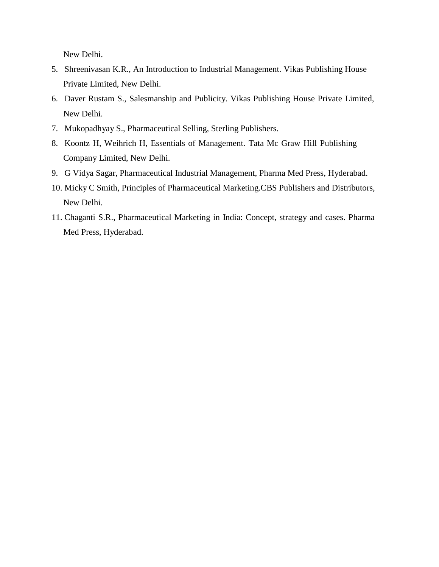New Delhi.

- 5. Shreenivasan K.R., An Introduction to Industrial Management. Vikas Publishing House Private Limited, New Delhi.
- 6. Daver Rustam S., Salesmanship and Publicity. Vikas Publishing House Private Limited, New Delhi.
- 7. Mukopadhyay S., Pharmaceutical Selling, Sterling Publishers.
- 8. Koontz H, Weihrich H, Essentials of Management. Tata Mc Graw Hill Publishing Company Limited, New Delhi.
- 9. G Vidya Sagar, Pharmaceutical Industrial Management, Pharma Med Press, Hyderabad.
- 10. Micky C Smith, Principles of Pharmaceutical Marketing.CBS Publishers and Distributors, New Delhi.
- 11. Chaganti S.R., Pharmaceutical Marketing in India: Concept, strategy and cases. Pharma Med Press, Hyderabad.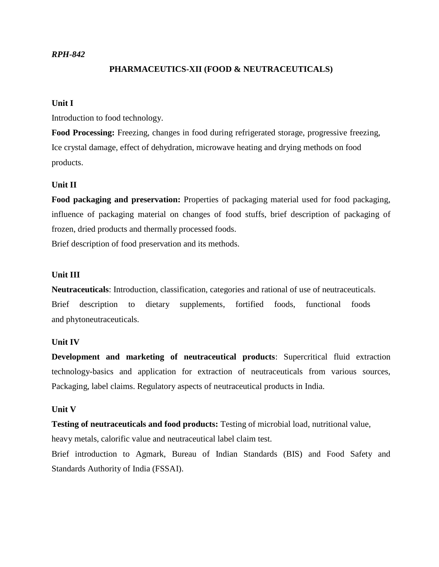## *RPH-842*

## **PHARMACEUTICS-XII (FOOD & NEUTRACEUTICALS)**

## **Unit I**

Introduction to food technology.

**Food Processing:** Freezing, changes in food during refrigerated storage, progressive freezing, Ice crystal damage, effect of dehydration, microwave heating and drying methods on food products.

## **Unit II**

**Food packaging and preservation:** Properties of packaging material used for food packaging, influence of packaging material on changes of food stuffs, brief description of packaging of frozen, dried products and thermally processed foods.

Brief description of food preservation and its methods.

#### **Unit III**

**Neutraceuticals**: Introduction, classification, categories and rational of use of neutraceuticals. Brief description to dietary supplements, fortified foods, functional foods and phytoneutraceuticals.

## **Unit IV**

**Development and marketing of neutraceutical products**: Supercritical fluid extraction technology-basics and application for extraction of neutraceuticals from various sources, Packaging, label claims. Regulatory aspects of neutraceutical products in India.

## **Unit V**

**Testing of neutraceuticals and food products:** Testing of microbial load, nutritional value,

heavy metals, calorific value and neutraceutical label claim test.

Brief introduction to Agmark, Bureau of Indian Standards (BIS) and Food Safety and Standards Authority of India (FSSAI).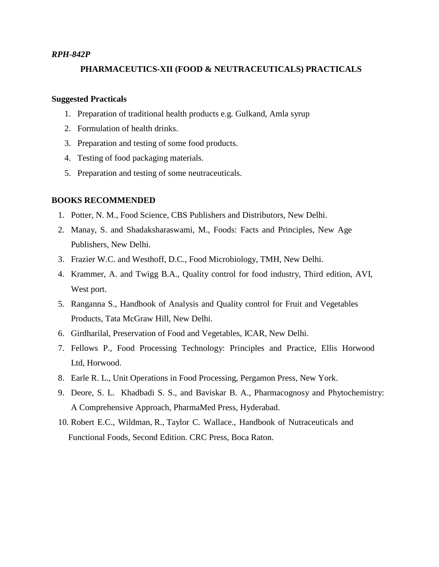#### *RPH-842P*

### **PHARMACEUTICS-XII (FOOD & NEUTRACEUTICALS) PRACTICALS**

## **Suggested Practicals**

- 1. Preparation of traditional health products e.g. Gulkand, Amla syrup
- 2. Formulation of health drinks.
- 3. Preparation and testing of some food products.
- 4. Testing of food packaging materials.
- 5. Preparation and testing of some neutraceuticals.

- 1. Potter, N. M., Food Science, CBS Publishers and Distributors, New Delhi.
- 2. Manay, S. and Shadaksharaswami, M., Foods: Facts and Principles, New Age Publishers, New Delhi.
- 3. Frazier W.C. and Westhoff, D.C., Food Microbiology, TMH, New Delhi.
- 4. Krammer, A. and Twigg B.A., Quality control for food industry, Third edition, AVI, West port.
- 5. Ranganna S., Handbook of Analysis and Quality control for Fruit and Vegetables Products, Tata McGraw Hill, New Delhi.
- 6. Girdharilal, Preservation of Food and Vegetables, ICAR, New Delhi.
- 7. Fellows P., Food Processing Technology: Principles and Practice, Ellis Horwood Ltd, Horwood.
- 8. Earle R. L., Unit Operations in Food Processing, Pergamon Press, New York.
- 9. Deore, S. L. Khadbadi S. S., and Baviskar B. A., Pharmacognosy and Phytochemistry: A Comprehensive Approach, PharmaMed Press, Hyderabad.
- 10. Robert E.C., Wildman, R., Taylor C. Wallace., Handbook of Nutraceuticals and Functional Foods, Second Edition. CRC Press, Boca Raton.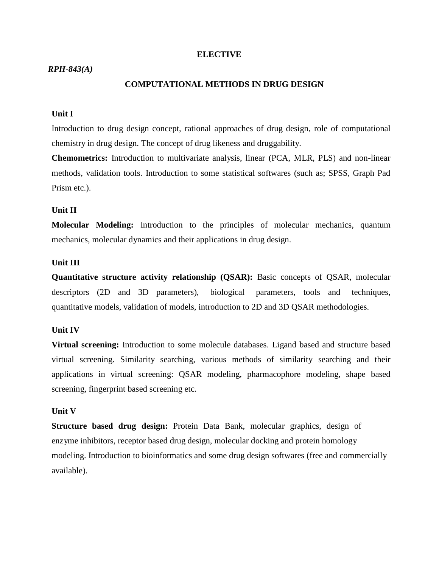#### **ELECTIVE**

#### *RPH-843(A)*

## **COMPUTATIONAL METHODS IN DRUG DESIGN**

### **Unit I**

Introduction to drug design concept, rational approaches of drug design, role of computational chemistry in drug design. The concept of drug likeness and druggability.

**Chemometrics:** Introduction to multivariate analysis, linear (PCA, MLR, PLS) and non-linear methods, validation tools. Introduction to some statistical softwares (such as; SPSS, Graph Pad Prism etc.).

#### **Unit II**

**Molecular Modeling:** Introduction to the principles of molecular mechanics, quantum mechanics, molecular dynamics and their applications in drug design.

### **Unit III**

**Quantitative structure activity relationship (QSAR):** Basic concepts of QSAR, molecular descriptors (2D and 3D parameters), biological parameters, tools and techniques, quantitative models, validation of models, introduction to 2D and 3D QSAR methodologies.

#### **Unit IV**

**Virtual screening:** Introduction to some molecule databases. Ligand based and structure based virtual screening. Similarity searching, various methods of similarity searching and their applications in virtual screening: QSAR modeling, pharmacophore modeling, shape based screening, fingerprint based screening etc.

#### **Unit V**

**Structure based drug design:** Protein Data Bank, molecular graphics, design of enzyme inhibitors, receptor based drug design, molecular docking and protein homology modeling. Introduction to bioinformatics and some drug design softwares (free and commercially available).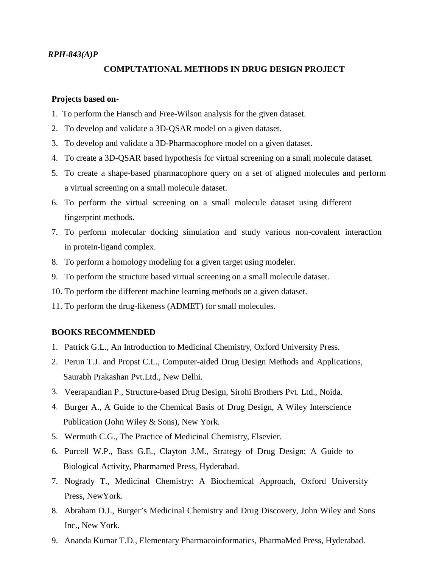#### *RPH-843(A)P*

## **COMPUTATIONAL METHODS IN DRUG DESIGN PROJECT**

#### **Projects based on-**

- 1. To perform the Hansch and Free-Wilson analysis for the given dataset.
- 2. To develop and validate a 3D-QSAR model on a given dataset.
- 3. To develop and validate a 3D-Pharmacophore model on a given dataset.
- 4. To create a 3D-QSAR based hypothesis for virtual screening on a small molecule dataset.
- 5. To create a shape-based pharmacophore query on a set of aligned molecules and perform a virtual screening on a small molecule dataset.
- 6. To perform the virtual screening on a small molecule dataset using different fingerprint methods.
- 7. To perform molecular docking simulation and study various non-covalent interaction in protein-ligand complex.
- 8. To perform a homology modeling for a given target using modeler.
- 9. To perform the structure based virtual screening on a small molecule dataset.
- 10. To perform the different machine learning methods on a given dataset.
- 11. To perform the drug-likeness (ADMET) for small molecules.

- 1. Patrick G.L., An Introduction to Medicinal Chemistry, Oxford University Press.
- 2. Perun T.J.and Propst C.L., Computer-aided Drug Design Methods and Applications, Saurabh Prakashan Pvt.Ltd., New Delhi.
- 3. Veerapandian P., Structure-based Drug Design, Sirohi Brothers Pvt. Ltd., Noida.
- 4. Burger A., A Guide to the Chemical Basis of Drug Design, A Wiley Interscience Publication (John Wiley & Sons), New York.
- 5. Wermuth C.G., The Practice of Medicinal Chemistry, Elsevier.
- 6. Purcell W.P., Bass G.E., Clayton J.M., Strategy of Drug Design: A Guide to Biological Activity, Pharmamed Press, Hyderabad.
- 7. Nogrady T., Medicinal Chemistry: A Biochemical Approach, Oxford University Press, NewYork.
- 8. Abraham D.J., Burger's Medicinal Chemistry and Drug Discovery, John Wiley and Sons Inc., New York.
- 9. Ananda Kumar T.D., Elementary Pharmacoinformatics, PharmaMed Press, Hyderabad.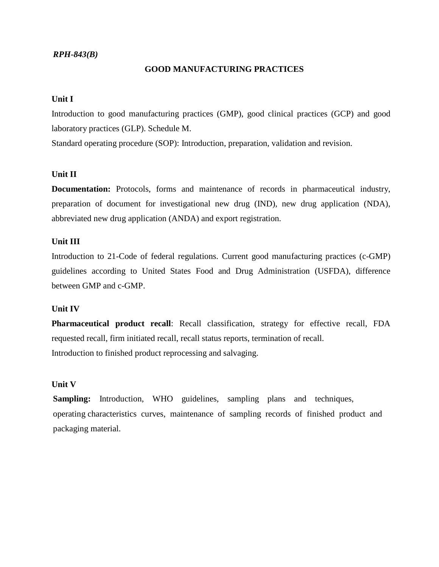## *RPH-843(B)*

## **GOOD MANUFACTURING PRACTICES**

## **Unit I**

Introduction to good manufacturing practices (GMP), good clinical practices (GCP) and good laboratory practices (GLP). Schedule M.

Standard operating procedure (SOP): Introduction, preparation, validation and revision.

## **Unit II**

**Documentation:** Protocols, forms and maintenance of records in pharmaceutical industry, preparation of document for investigational new drug (IND), new drug application (NDA), abbreviated new drug application (ANDA) and export registration.

## **Unit III**

Introduction to 21-Code of federal regulations. Current good manufacturing practices (c-GMP) guidelines according to United States Food and Drug Administration (USFDA), difference between GMP and c-GMP.

## **Unit IV**

**Pharmaceutical product recall**: Recall classification, strategy for effective recall, FDA requested recall, firm initiated recall, recall status reports, termination of recall. Introduction to finished product reprocessing and salvaging.

#### **Unit V**

**Sampling:** Introduction, WHO guidelines, sampling plans and techniques, operating characteristics curves, maintenance of sampling records of finished product and packaging material.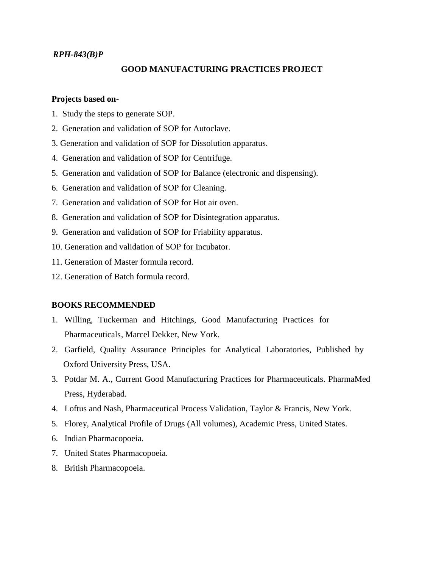## *RPH-843(B)P*

## **GOOD MANUFACTURING PRACTICES PROJECT**

## **Projects based on-**

- 1. Study the steps to generate SOP.
- 2. Generation and validation of SOP for Autoclave.
- 3. Generation and validation of SOP for Dissolution apparatus.
- 4. Generation and validation of SOP for Centrifuge.
- 5. Generation and validation of SOP for Balance (electronic and dispensing).
- 6. Generation and validation of SOP for Cleaning.
- 7. Generation and validation of SOP for Hot air oven.
- 8. Generation and validation of SOP for Disintegration apparatus.
- 9. Generation and validation of SOP for Friability apparatus.
- 10. Generation and validation of SOP for Incubator.
- 11. Generation of Master formula record.
- 12. Generation of Batch formula record.

- 1. Willing, Tuckerman and Hitchings, Good Manufacturing Practices for Pharmaceuticals, Marcel Dekker, New York.
- 2. Garfield, Quality Assurance Principles for Analytical Laboratories, Published by Oxford University Press, USA.
- 3. Potdar M. A., Current Good Manufacturing Practices for Pharmaceuticals. PharmaMed Press, Hyderabad.
- 4. Loftus and Nash, Pharmaceutical Process Validation, Taylor & Francis, New York.
- 5. Florey, Analytical Profile of Drugs (All volumes), Academic Press, United States.
- 6. Indian Pharmacopoeia.
- 7. United States Pharmacopoeia.
- 8. British Pharmacopoeia.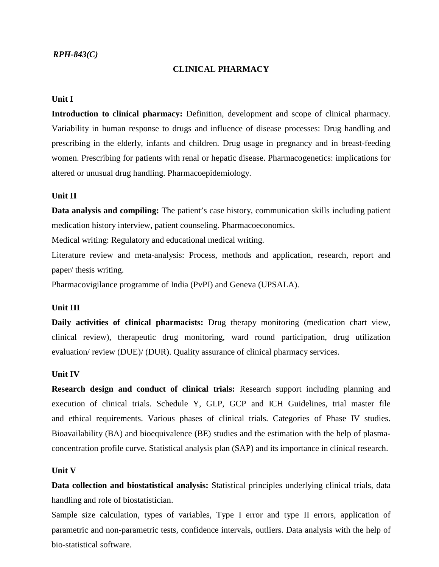## *RPH-843(C)*

### **CLINICAL PHARMACY**

## **Unit I**

**Introduction to clinical pharmacy:** Definition, development and scope of clinical pharmacy. Variability in human response to drugs and influence of disease processes: Drug handling and prescribing in the elderly, infants and children. Drug usage in pregnancy and in breast-feeding women. Prescribing for patients with renal or hepatic disease. Pharmacogenetics: implications for altered or unusual drug handling. Pharmacoepidemiology.

#### **Unit II**

**Data analysis and compiling:** The patient's case history, communication skills including patient medication history interview, patient counseling. Pharmacoeconomics.

Medical writing: Regulatory and educational medical writing.

Literature review and meta-analysis: Process, methods and application, research, report and paper/ thesis writing.

Pharmacovigilance programme of India (PvPI) and Geneva (UPSALA).

### **Unit III**

**Daily activities of clinical pharmacists:** Drug therapy monitoring (medication chart view, clinical review), therapeutic drug monitoring, ward round participation, drug utilization evaluation/ review (DUE)/ (DUR). Quality assurance of clinical pharmacy services.

#### **Unit IV**

**Research design and conduct of clinical trials:** Research support including planning and execution of clinical trials. Schedule Y, GLP, GCP and ICH Guidelines, trial master file and ethical requirements. Various phases of clinical trials. Categories of Phase IV studies. Bioavailability (BA) and bioequivalence (BE) studies and the estimation with the help of plasma concentration profile curve. Statistical analysis plan (SAP) and its importance in clinical research.

#### **Unit V**

**Data collection and biostatistical analysis:** Statistical principles underlying clinical trials, data handling and role of biostatistician.

Sample size calculation, types of variables, Type I error and type II errors, application of parametric and non-parametric tests, confidence intervals, outliers. Data analysis with the help of bio-statistical software.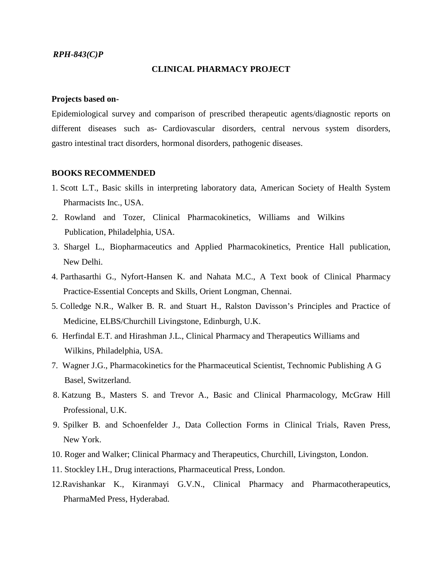### *RPH-843(C)P*

#### **CLINICAL PHARMACY PROJECT**

#### **Projects based on-**

Epidemiological survey and comparison of prescribed therapeutic agents/diagnostic reports on different diseases such as- Cardiovascular disorders, central nervous system disorders, gastro intestinal tract disorders, hormonal disorders, pathogenic diseases.

- 1. Scott L.T., Basic skills in interpreting laboratory data, American Society of Health System Pharmacists Inc., USA.
- 2. Rowland and Tozer, Clinical Pharmacokinetics, Williams and Wilkins Publication, Philadelphia, USA.
- 3. Shargel L., Biopharmaceutics and Applied Pharmacokinetics, Prentice Hall publication, New Delhi.
- 4. Parthasarthi G., Nyfort-Hansen K. and Nahata M.C., A Text book of Clinical Pharmacy Practice-Essential Concepts and Skills, Orient Longman, Chennai.
- 5. Colledge N.R., Walker B. R. and Stuart H., Ralston Davisson's Principles and Practice of Medicine, ELBS/Churchill Livingstone, Edinburgh, U.K.
- 6. Herfindal E.T. and Hirashman J.L., Clinical Pharmacy and Therapeutics Williams and Wilkins, Philadelphia, USA.
- 7. Wagner J.G., Pharmacokinetics for the Pharmaceutical Scientist, Technomic Publishing A G Basel, Switzerland.
- 8. Katzung B., Masters S. and Trevor A., Basic and Clinical Pharmacology, McGraw Hill Professional, U.K.
- 9. Spilker B. and Schoenfelder J., Data Collection Forms in Clinical Trials, Raven Press, New York.
- 10. Roger and Walker; Clinical Pharmacy and Therapeutics, Churchill, Livingston, London.
- 11. Stockley I.H., Drug interactions, Pharmaceutical Press, London.
- 12.Ravishankar K., Kiranmayi G.V.N., Clinical Pharmacy and Pharmacotherapeutics, PharmaMed Press, Hyderabad.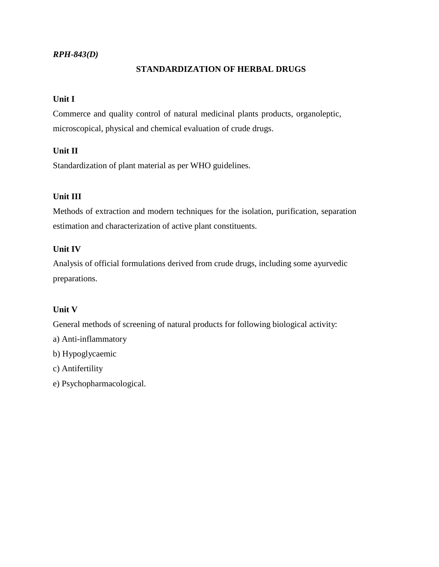## *RPH-843(D)*

## **STANDARDIZATION OF HERBAL DRUGS**

## **Unit I**

Commerce and quality control of natural medicinal plants products, organoleptic, microscopical, physical and chemical evaluation of crude drugs.

## **Unit II**

Standardization of plant material as per WHO guidelines.

## **Unit III**

Methods of extraction and modern techniques for the isolation, purification, separation estimation and characterization of active plant constituents.

## **Unit IV**

Analysis of official formulations derived from crude drugs, including some ayurvedic preparations.

## **Unit V**

General methods of screening of natural products for following biological activity:

- a) Anti-inflammatory
- b) Hypoglycaemic
- c) Antifertility
- e) Psychopharmacological.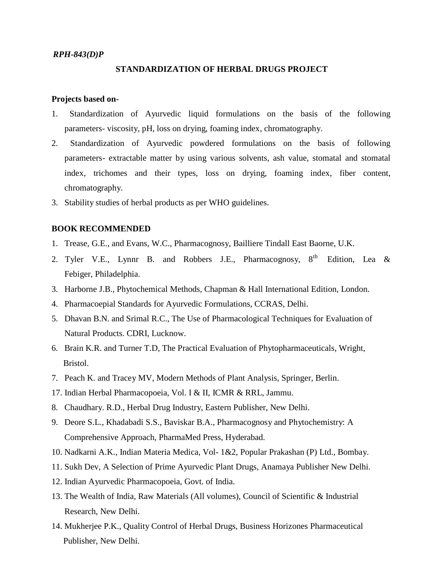#### *RPH-843(D)P*

### **STANDARDIZATION OF HERBAL DRUGS PROJECT**

#### **Projects based on-**

- 1. Standardization of Ayurvedic liquid formulations on the basis of the following parameters- viscosity, pH, loss on drying, foaming index, chromatography.
- 2. Standardization of Ayurvedic powdered formulations on the basis of following parameters- extractable matter by using various solvents, ash value, stomatal and stomatal index, trichomes and their types, loss on drying, foaming index, fiber content, chromatography.
- 3. Stability studies of herbal products as per WHO guidelines.

- 1. Trease, G.E., and Evans, W.C., Pharmacognosy, Bailliere Tindall East Baorne, U.K.
- 2. Tyler V.E., Lynnr B. and Robbers J.E., Pharmacognosy,  $8<sup>th</sup>$  Edition, Lea & Febiger, Philadelphia.
- 3. Harborne J.B., Phytochemical Methods, Chapman & Hall International Edition, London.
- 4. Pharmacoepial Standards for Ayurvedic Formulations, CCRAS, Delhi.
- 5. Dhavan B.N. and Srimal R.C., The Use of Pharmacological Techniques for Evaluation of Natural Products. CDRI, Lucknow.
- 6. Brain K.R. and Turner T.D, The Practical Evaluation of Phytopharmaceuticals, Wright, Bristol.
- 7. Peach K. and Tracey MV, Modern Methods of Plant Analysis, Springer, Berlin.
- 17. Indian Herbal Pharmacopoeia, Vol. I & II, ICMR & RRL, Jammu.
- 8. Chaudhary. R.D., Herbal Drug Industry, Eastern Publisher, New Delhi.
- 9. Deore S.L., Khadabadi S.S., Baviskar B.A., Pharmacognosy and Phytochemistry: A Comprehensive Approach, PharmaMed Press, Hyderabad.
- 10. Nadkarni A.K., Indian Materia Medica, Vol- 1&2, Popular Prakashan (P) Ltd., Bombay.
- 11. Sukh Dev, A Selection of Prime Ayurvedic Plant Drugs, Anamaya Publisher New Delhi.
- 12. Indian Ayurvedic Pharmacopoeia, Govt. of India.
- 13. The Wealth of India, Raw Materials (All volumes), Council of Scientific & Industrial Research, New Delhi.
- 14. Mukherjee P.K., Quality Control of Herbal Drugs, Business Horizones Pharmaceutical Publisher, New Delhi.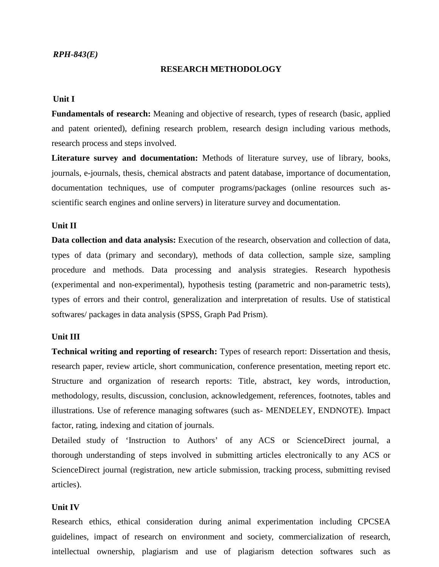#### **RESEARCH METHODOLOGY**

### **Unit I**

**Fundamentals of research:** Meaning and objective of research, types of research (basic, applied and patent oriented), defining research problem, research design including various methods, research process and steps involved.

**Literature survey and documentation:** Methods of literature survey, use of library, books, journals, e-journals, thesis, chemical abstracts and patent database, importance of documentation, documentation techniques, use of computer programs/packages (online resources such as scientific search engines and online servers) in literature survey and documentation.

## **Unit II**

**Data collection and data analysis:** Execution of the research, observation and collection of data, types of data (primary and secondary), methods of data collection, sample size, sampling procedure and methods. Data processing and analysis strategies. Research hypothesis (experimental and non-experimental), hypothesis testing (parametric and non-parametric tests), types of errors and their control, generalization and interpretation of results. Use of statistical softwares/ packages in data analysis (SPSS, Graph Pad Prism).

### **Unit III**

**Technical writing and reporting of research:** Types of research report: Dissertation and thesis, research paper, review article, short communication, conference presentation, meeting report etc. Structure and organization of research reports: Title, abstract, key words, introduction, methodology, results, discussion, conclusion, acknowledgement, references, footnotes, tables and illustrations. Use of reference managing softwares (such as- MENDELEY, ENDNOTE). Impact factor, rating, indexing and citation of journals.

Detailed study of 'Instruction to Authors' of any ACS or ScienceDirect journal, a thorough understanding of steps involved in submitting articles electronically to any ACS or ScienceDirect journal (registration, new article submission, tracking process, submitting revised articles).

#### **Unit IV**

Research ethics, ethical consideration during animal experimentation including CPCSEA guidelines, impact of research on environment and society, commercialization of research, intellectual ownership, plagiarism and use of plagiarism detection softwares such as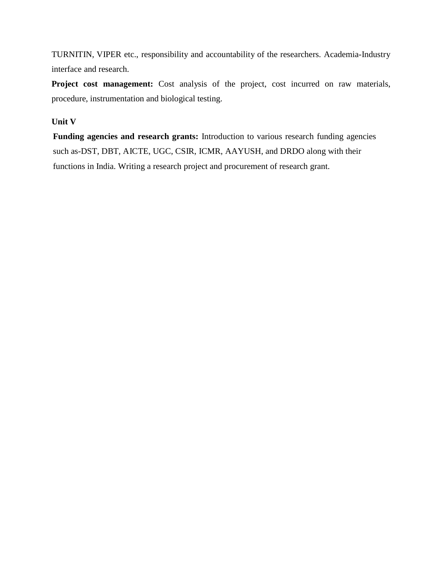TURNITIN, VIPER etc., responsibility and accountability of the researchers. Academia-Industry interface and research.

**Project cost management:** Cost analysis of the project, cost incurred on raw materials, procedure, instrumentation and biological testing.

## **Unit V**

**Funding agencies and research grants:** Introduction to various research funding agencies such as-DST, DBT, AICTE, UGC, CSIR, ICMR, AAYUSH, and DRDO along with their functions in India. Writing a research project and procurement of research grant.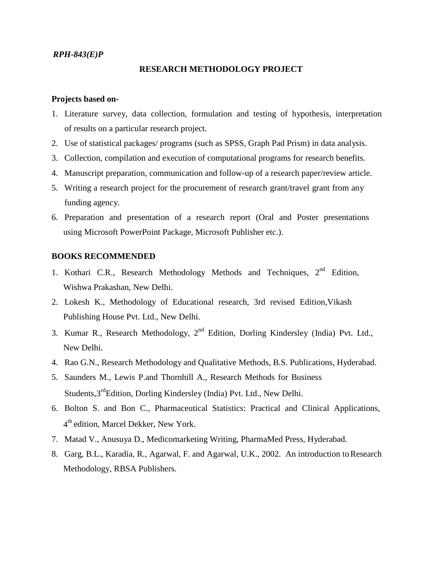### *RPH-843(E)P*

#### **RESEARCH METHODOLOGY PROJECT**

## **Projects based on-**

- 1. Literature survey, data collection, formulation and testing of hypothesis, interpretation of results on a particular research project.
- 2. Use of statistical packages/ programs (such as SPSS, Graph Pad Prism) in data analysis.
- 3. Collection, compilation and execution of computational programs for research benefits.
- 4. Manuscript preparation, communication and follow-up of a research paper/review article.
- 5. Writing a research project for the procurement of research grant/travel grant from any funding agency.
- 6. Preparation and presentation of a research report (Oral and Poster presentations using Microsoft PowerPoint Package, Microsoft Publisher etc.).

- 1. Kothari C.R., Research Methodology Methods and Techniques, 2<sup>nd</sup> Edition, Wishwa Prakashan, New Delhi.
- 2. Lokesh K., Methodology of Educational research, 3rd revised Edition,Vikash Publishing House Pvt. Ltd., New Delhi.
- 3. Kumar R., Research Methodology, 2<sup>nd</sup> Edition, Dorling Kindersley (India) Pvt. Ltd., New Delhi.
- 4. Rao G.N., Research Methodology and Qualitative Methods, B.S. Publications, Hyderabad.
- 5. Saunders M., Lewis P.and Thornhill A., Research Methods for Business Students,3<sup>rd</sup>Edition, Dorling Kindersley (India) Pvt. Ltd., New Delhi.
- 6. Bolton S. and Bon C., Pharmaceutical Statistics: Practical and Clinical Applications, 4 th edition, Marcel Dekker, New York.
- 7. Matad V., Anusuya D., Medicomarketing Writing, PharmaMed Press, Hyderabad.
- 8. Garg, B.L., Karadia, R., Agarwal, F. and Agarwal, U.K., 2002. An introduction to Research Methodology, RBSA Publishers.